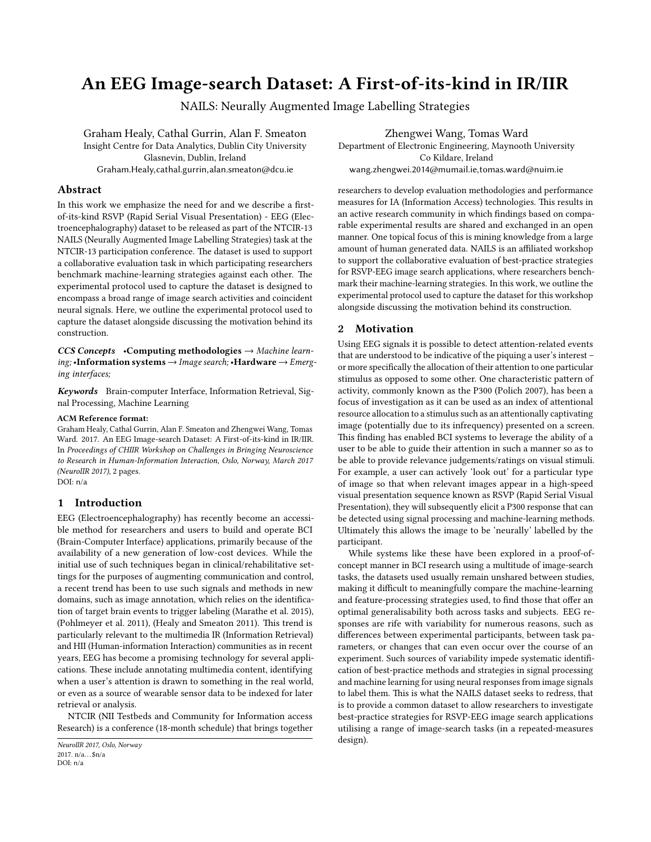# An EEG Image-search Dataset: A First-of-its-kind in IR/IIR

NAILS: Neurally Augmented Image Labelling Strategies

Graham Healy, Cathal Gurrin, Alan F. Smeaton Insight Centre for Data Analytics, Dublin City University Glasnevin, Dublin, Ireland Graham.Healy,cathal.gurrin,alan.smeaton@dcu.ie

## Abstract

In this work we emphasize the need for and we describe a firstof-its-kind RSVP (Rapid Serial Visual Presentation) - EEG (Electroencephalography) dataset to be released as part of the NTCIR-13 NAILS (Neurally Augmented Image Labelling Strategies) task at the NTCIR-13 participation conference. The dataset is used to support a collaborative evaluation task in which participating researchers benchmark machine-learning strategies against each other. The experimental protocol used to capture the dataset is designed to encompass a broad range of image search activities and coincident neural signals. Here, we outline the experimental protocol used to capture the dataset alongside discussing the motivation behind its construction.

 $CCS$  Concepts •Computing methodologies  $\rightarrow$  Machine learning; •Information systems  $\rightarrow$  Image search; •Hardware  $\rightarrow$  Emerging interfaces;

Keywords Brain-computer Interface, Information Retrieval, Signal Processing, Machine Learning

#### ACM Reference format:

Graham Healy, Cathal Gurrin, Alan F. Smeaton and Zhengwei Wang, Tomas Ward. 2017. An EEG Image-search Dataset: A First-of-its-kind in IR/IIR. In Proceedings of CHIIR Workshop on Challenges in Bringing Neuroscience to Research in Human-Information Interaction, Oslo, Norway, March 2017 (NeuroIIR 2017), [2](#page-1-0) pages.

DOI: n/a

## 1 Introduction

EEG (Electroencephalography) has recently become an accessible method for researchers and users to build and operate BCI (Brain-Computer Interface) applications, primarily because of the availability of a new generation of low-cost devices. While the initial use of such techniques began in clinical/rehabilitative settings for the purposes of augmenting communication and control, a recent trend has been to use such signals and methods in new domains, such as image annotation, which relies on the identification of target brain events to trigger labeling [\(Marathe et al.](#page-1-1) [2015\)](#page-1-1), [\(Pohlmeyer et al.](#page-1-2) [2011\)](#page-1-2), [\(Healy and Smeaton 2011\)](#page-1-3). This trend is particularly relevant to the multimedia IR (Information Retrieval) and HII (Human-information Interaction) communities as in recent years, EEG has become a promising technology for several applications. These include annotating multimedia content, identifying when a user's attention is drawn to something in the real world, or even as a source of wearable sensor data to be indexed for later retrieval or analysis.

NTCIR (NII Testbeds and Community for Information access Research) is a conference (18-month schedule) that brings together

Zhengwei Wang, Tomas Ward Department of Electronic Engineering, Maynooth University Co Kildare, Ireland wang.zhengwei.2014@mumail.ie,tomas.ward@nuim.ie

researchers to develop evaluation methodologies and performance measures for IA (Information Access) technologies. This results in an active research community in which findings based on comparable experimental results are shared and exchanged in an open manner. One topical focus of this is mining knowledge from a large amount of human generated data. NAILS is an affiliated workshop to support the collaborative evaluation of best-practice strategies for RSVP-EEG image search applications, where researchers benchmark their machine-learning strategies. In this work, we outline the experimental protocol used to capture the dataset for this workshop alongside discussing the motivation behind its construction.

## 2 Motivation

Using EEG signals it is possible to detect attention-related events that are understood to be indicative of the piquing a user's interest – or more specifically the allocation of their attention to one particular stimulus as opposed to some other. One characteristic pattern of activity, commonly known as the P300 [\(Polich 2007\)](#page-1-4), has been a focus of investigation as it can be used as an index of attentional resource allocation to a stimulus such as an attentionally captivating image (potentially due to its infrequency) presented on a screen. This finding has enabled BCI systems to leverage the ability of a user to be able to guide their attention in such a manner so as to be able to provide relevance judgements/ratings on visual stimuli. For example, a user can actively 'look out' for a particular type of image so that when relevant images appear in a high-speed visual presentation sequence known as RSVP (Rapid Serial Visual Presentation), they will subsequently elicit a P300 response that can be detected using signal processing and machine-learning methods. Ultimately this allows the image to be 'neurally' labelled by the participant.

While systems like these have been explored in a proof-ofconcept manner in BCI research using a multitude of image-search tasks, the datasets used usually remain unshared between studies, making it difficult to meaningfully compare the machine-learning and feature-processing strategies used, to find those that offer an optimal generalisability both across tasks and subjects. EEG responses are rife with variability for numerous reasons, such as differences between experimental participants, between task parameters, or changes that can even occur over the course of an experiment. Such sources of variability impede systematic identification of best-practice methods and strategies in signal processing and machine learning for using neural responses from image signals to label them. This is what the NAILS dataset seeks to redress, that is to provide a common dataset to allow researchers to investigate best-practice strategies for RSVP-EEG image search applications utilising a range of image-search tasks (in a repeated-measures design).

NeuroIIR 2017, Oslo, Norway 2017.  $n/a...$ \$n/a DOI: n/a